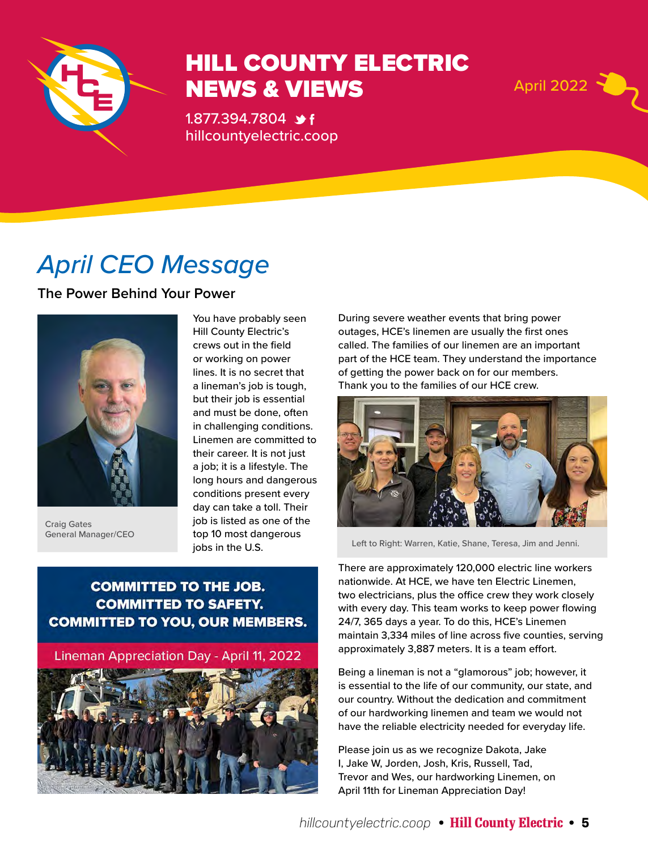

## HILL COUNTY ELECTRIC NEWS & VIEWS April 2022

1.877.394.7804 **\*** hillcountyelectric.coop

# *April CEO Message*

**The Power Behind Your Power**



Craig Gates General Manager/CEO

You have probably seen Hill County Electric's crews out in the field or working on power lines. It is no secret that a lineman's job is tough, but their job is essential and must be done, often in challenging conditions. Linemen are committed to their career. It is not just a job; it is a lifestyle. The long hours and dangerous conditions present every day can take a toll. Their job is listed as one of the top 10 most dangerous jobs in the U.S.

During severe weather events that bring power outages, HCE's linemen are usually the first ones called. The families of our linemen are an important part of the HCE team. They understand the importance of getting the power back on for our members. Thank you to the families of our HCE crew.



Left to Right: Warren, Katie, Shane, Teresa, Jim and Jenni.

There are approximately 120,000 electric line workers nationwide. At HCE, we have ten Electric Linemen, two electricians, plus the office crew they work closely with every day. This team works to keep power flowing 24/7, 365 days a year. To do this, HCE's Linemen maintain 3,334 miles of line across five counties, serving approximately 3,887 meters. It is a team effort.

Being a lineman is not a "glamorous" job; however, it is essential to the life of our community, our state, and our country. Without the dedication and commitment of our hardworking linemen and team we would not have the reliable electricity needed for everyday life.

Please join us as we recognize Dakota, Jake I, Jake W, Jorden, Josh, Kris, Russell, Tad, Trevor and Wes, our hardworking Linemen, on April 11th for Lineman Appreciation Day!

### **COMMITTED TO THE JOB. COMMITTED TO SAFETY. COMMITTED TO YOU, OUR MEMBERS.**

Lineman Appreciation Day - April 11, 2022

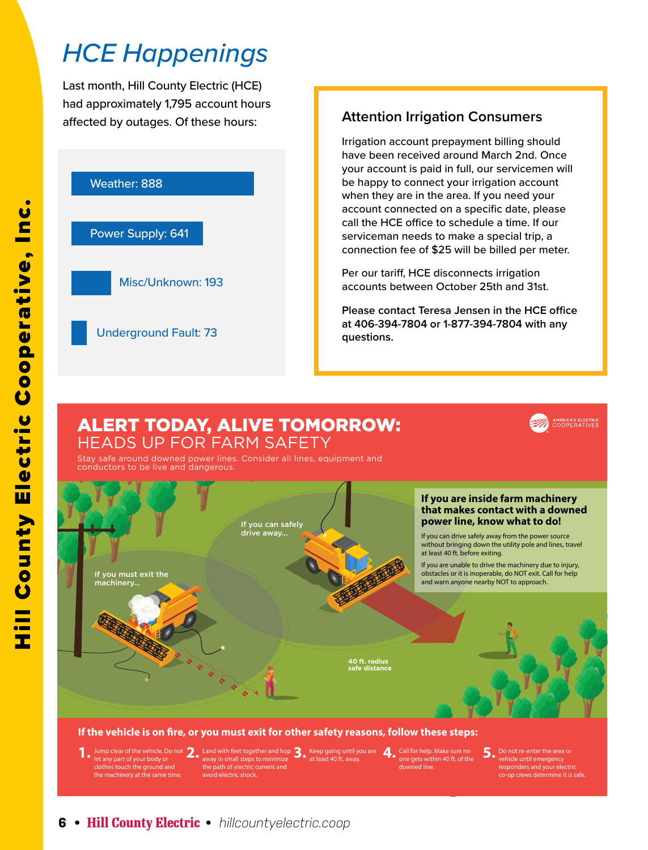## *HCE Happenings*

Last month, Hill County Electric (HCE) had approximately 1,795 account hours affected by outages. Of these hours:



### **Attention Irrigation Consumers**

Irrigation account prepayment billing should have been received around March 2nd. Once your account is paid in full, our servicemen will be happy to connect your irrigation account when they are in the area. If you need your account connected on a specific date, please call the HCE office to schedule a time. If our serviceman needs to make a special trip, a connection fee of \$25 will be billed per meter.

Per our tariff, HCE disconnects irrigation accounts between October 25th and 31st.

**Please contact Teresa Jensen in the HCE office at 406-394-7804 or 1-877-394-7804 with any questions.**

### ALERT TODAY, ALIVE TOMORROW: HEADS UP FOR FARM SAFETY



Stay safe around downed power lines. Consider all lines, equipment and conductors to be live and dangerous.

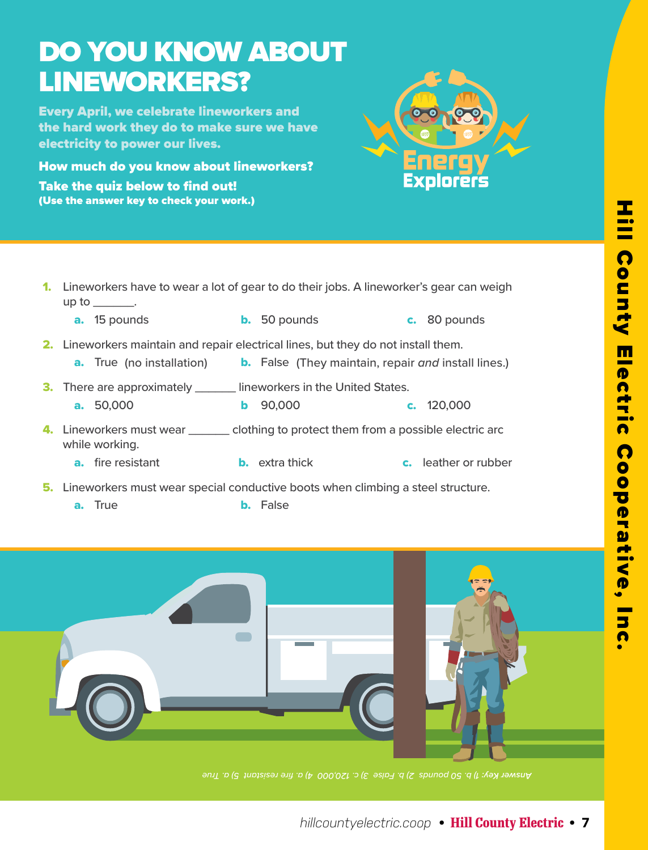## DO YOU KNOW ABOUT LINEWORKERS?

Every April, we celebrate lineworkers and the hard work they do to make sure we have electricity to power our lives.

How much do you know about lineworkers? Take the quiz below to find out! (Use the answer key to check your work.)



| 1. | $up to \_\_$ .                                                                                                                | Lineworkers have to wear a lot of gear to do their jobs. A lineworker's gear can weigh |                                                            |  |                      |
|----|-------------------------------------------------------------------------------------------------------------------------------|----------------------------------------------------------------------------------------|------------------------------------------------------------|--|----------------------|
|    | <b>a.</b> 15 pounds                                                                                                           |                                                                                        | <b>b.</b> 50 pounds                                        |  | c. 80 pounds         |
|    | <b>2.</b> Lineworkers maintain and repair electrical lines, but they do not install them.<br><b>a.</b> True (no installation) |                                                                                        | <b>b.</b> False (They maintain, repair and install lines.) |  |                      |
|    | <b>3.</b> There are approximately ________ lineworkers in the United States.                                                  |                                                                                        |                                                            |  |                      |
|    | a. 50,000                                                                                                                     | b.                                                                                     | 90,000                                                     |  | c. $120,000$         |
|    | 4. Lineworkers must wear ________ clothing to protect them from a possible electric arc<br>while working.                     |                                                                                        |                                                            |  |                      |
|    | <b>a.</b> fire resistant                                                                                                      |                                                                                        | <b>b.</b> extra thick                                      |  | c. leather or rubber |

- 5. Lineworkers must wear special conductive boots when climbing a steel structure.
	-
	- **a.** True **b.** False



 $\blacksquare$ 

Answer Key: 1) b. 50 pounds 2) b. False 3) c. 120,000 4) a. fire resistant 5) a. True